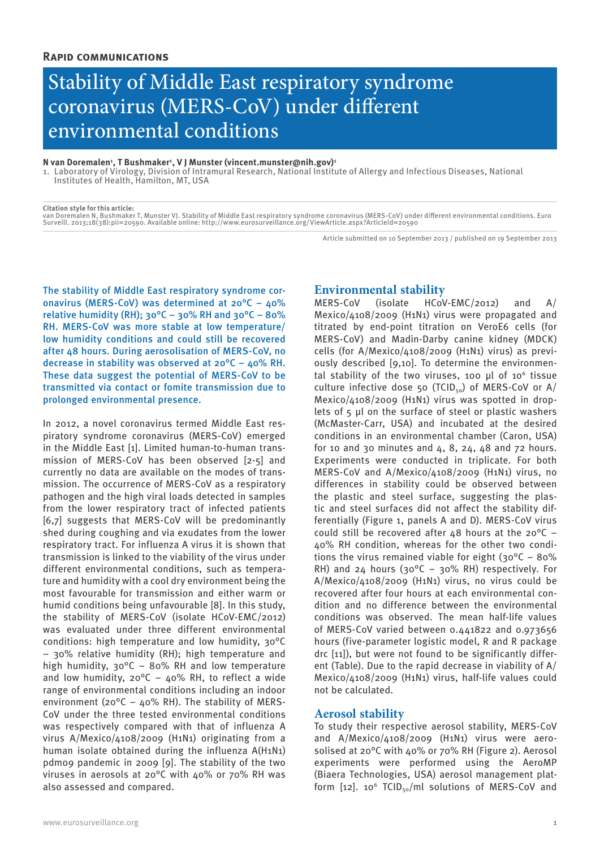# Stability of Middle East respiratory syndrome coronavirus (MERS-CoV) under different environmental conditions

### **N van Doremalen1 , T Bushmaker1 , V J Munster (vincent.munster@nih.gov)1**

1. Laboratory of Virology, Division of Intramural Research, National Institute of Allergy and Infectious Diseases, National Institutes of Health, Hamilton, MT, USA

**Citation style for this article:** van Doremalen N, Bushmaker T, Munster VJ. Stability of Middle East respiratory syndrome coronavirus (MERS-CoV) under different environmental conditions. Euro Surveill. 2013;18(38):pii=20590. Available online: http://www.eurosurveillance.org/ViewArticle.aspx?ArticleId=20590

Article submitted on 10 September 2013 / published on 19 September 2013

The stability of Middle East respiratory syndrome coronavirus (MERS-CoV) was determined at 20°C – 40% relative humidity (RH);  $30^{\circ}$ C –  $30\%$  RH and  $30^{\circ}$ C –  $80\%$ RH. MERS-CoV was more stable at low temperature/ low humidity conditions and could still be recovered after 48 hours. During aerosolisation of MERS-CoV, no decrease in stability was observed at 20°C – 40% RH. These data suggest the potential of MERS-CoV to be transmitted via contact or fomite transmission due to prolonged environmental presence.

In 2012, a novel coronavirus termed Middle East respiratory syndrome coronavirus (MERS-CoV) emerged in the Middle East [1]. Limited human-to-human transmission of MERS-CoV has been observed [2-5] and currently no data are available on the modes of transmission. The occurrence of MERS-CoV as a respiratory pathogen and the high viral loads detected in samples from the lower respiratory tract of infected patients [6,7] suggests that MERS-CoV will be predominantly shed during coughing and via exudates from the lower respiratory tract. For influenza A virus it is shown that transmission is linked to the viability of the virus under different environmental conditions, such as temperature and humidity with a cool dry environment being the most favourable for transmission and either warm or humid conditions being unfavourable [8]. In this study, the stability of MERS-CoV (isolate HCoV-EMC/2012) was evaluated under three different environmental conditions: high temperature and low humidity, 30°C – 30% relative humidity (RH); high temperature and high humidity, 30°C – 80% RH and low temperature and low humidity,  $20^{\circ}$ C –  $40\%$  RH, to reflect a wide range of environmental conditions including an indoor environment (20 $^{\circ}$ C – 40% RH). The stability of MERS-CoV under the three tested environmental conditions was respectively compared with that of influenza A virus A/Mexico/4108/2009 (H1N1) originating from a human isolate obtained during the influenza A(H1N1) pdm09 pandemic in 2009 [9]. The stability of the two viruses in aerosols at 20°C with 40% or 70% RH was also assessed and compared.

**Environmental stability**<br>MERS-CoV (isolate HCoV  $HCOV-EMC/2012$  and A/ Mexico/4108/2009 (H1N1) virus were propagated and titrated by end-point titration on VeroE6 cells (for MERS-CoV) and Madin-Darby canine kidney (MDCK) cells (for A/Mexico/4108/2009 (H1N1) virus) as previously described [9,10]. To determine the environmental stability of the two viruses, 100 μl of 106 tissue culture infective dose 50 (TCID $_{50}$ ) of MERS-CoV or A/ Mexico/4108/2009 (H1N1) virus was spotted in droplets of 5 μl on the surface of steel or plastic washers (McMaster-Carr, USA) and incubated at the desired conditions in an environmental chamber (Caron, USA) for 10 and 30 minutes and  $4, 8, 24, 48$  and  $72$  hours. Experiments were conducted in triplicate. For both MERS-CoV and A/Mexico/4108/2009 (H1N1) virus, no differences in stability could be observed between the plastic and steel surface, suggesting the plastic and steel surfaces did not affect the stability differentially (Figure 1, panels A and D). MERS-CoV virus could still be recovered after 48 hours at the  $20^{\circ}$ C – 40% RH condition, whereas for the other two conditions the virus remained viable for eight  $(30^{\circ}C - 80^{\circ})$ RH) and 24 hours (30 $^{\circ}$ C – 30% RH) respectively. For A/Mexico/4108/2009 (H1N1) virus, no virus could be recovered after four hours at each environmental condition and no difference between the environmental conditions was observed. The mean half-life values of MERS-CoV varied between 0.441822 and 0.973656 hours (five-parameter logistic model, R and R package drc [11]), but were not found to be significantly different (Table). Due to the rapid decrease in viability of A/ Mexico/4108/2009 (H1N1) virus, half-life values could not be calculated.

# **Aerosol stability**

To study their respective aerosol stability, MERS-CoV and A/Mexico/4108/2009 (H1N1) virus were aerosolised at 20°C with 40% or 70% RH (Figure 2). Aerosol experiments were performed using the AeroMP (Biaera Technologies, USA) aerosol management platform [12]. 10<sup>6</sup> TCID<sub>50</sub>/ml solutions of MERS-CoV and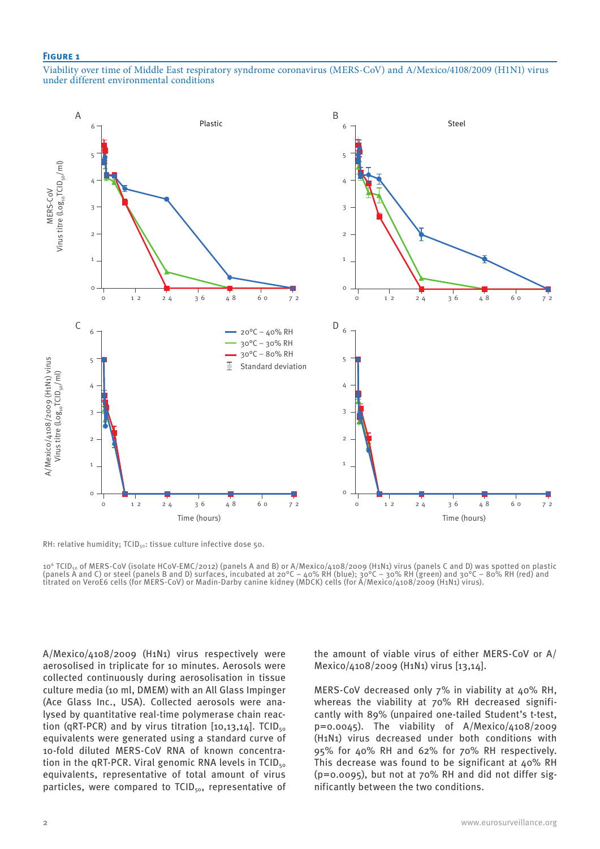#### **Figure 1**

Viability over time of Middle East respiratory syndrome coronavirus (MERS-CoV) and A/Mexico/4108/2009 (H1N1) virus under different environmental conditions



RH: relative humidity; TCID<sub>50</sub>: tissue culture infective dose 50.

10<sup>6</sup> TCID<sub>50</sub> of MERS-CoV (isolate HCoV-EMC/2012) (panels A and B) or A/Mexico/4108/2009 (H1N1) virus (panels C and D) was spotted on plastic (panels A and C) or steel (panels B and D) surfaces, incubated at 20°C – 40% RH (blue);  $30^{\circ}$ C – 30% RH (green) and  $30^{\circ}$ C – 80% RH (red) and titrated on VeroE6 cells (for MERS-CoV) or Madin-Darby canine kidney (MDCK) cells (for A/Mexico/4108/2009 (H1N1) virus).

A/Mexico/4108/2009 (H1N1) virus respectively were aerosolised in triplicate for 10 minutes. Aerosols were collected continuously during aerosolisation in tissue culture media (10 ml, DMEM) with an All Glass Impinger (Ace Glass Inc., USA). Collected aerosols were analysed by quantitative real-time polymerase chain reaction (qRT-PCR) and by virus titration  $[10,13,14]$ . TCID<sub>50</sub> equivalents were generated using a standard curve of 10-fold diluted MERS-CoV RNA of known concentration in the qRT-PCR. Viral genomic RNA levels in  $TCID_{50}$ equivalents, representative of total amount of virus particles, were compared to TCID<sub>50</sub>, representative of the amount of viable virus of either MERS-CoV or A/ Mexico/4108/2009 (H1N1) virus [13,14].

MERS-CoV decreased only  $7\%$  in viability at  $40\%$  RH. whereas the viability at 70% RH decreased significantly with 89% (unpaired one-tailed Student's t-test,  $p=0.0045$ ). The viability of A/Mexico/4108/2009 (H1N1) virus decreased under both conditions with 95% for 40% RH and 62% for 70% RH respectively. This decrease was found to be significant at 40% RH (p=0.0095), but not at 70% RH and did not differ significantly between the two conditions.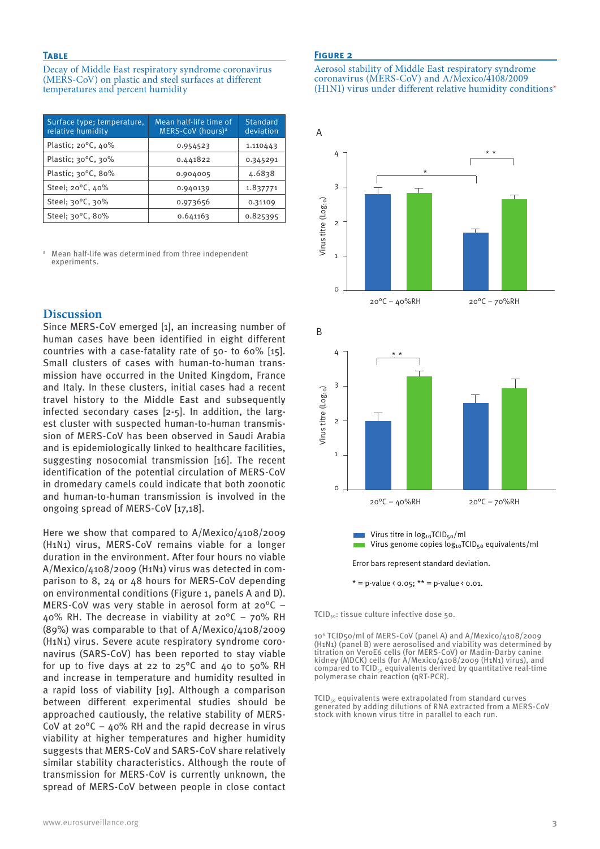#### **Table**

Decay of Middle East respiratory syndrome coronavirus (MERS-CoV) on plastic and steel surfaces at different temperatures and percent humidity

| Surface type; temperature,<br>relative humidity | Mean half-life time of<br>MERS-CoV (hours) <sup>a</sup> | Standard<br>deviation |
|-------------------------------------------------|---------------------------------------------------------|-----------------------|
| Plastic; 20°C, 40%                              | 0.954523                                                | 1.110443              |
| Plastic; $30^{\circ}$ C, $30^{\circ}$           | 0.441822                                                | 0.345291              |
| Plastic; 30°C, 80%                              | 0.904005                                                | 4.6838                |
| Steel; 20°C, 40%                                | 0.940139                                                | 1.837771              |
| Steel; 30°C, 30%                                | 0.973656                                                | 0.31109               |
| Steel; 30°C, 80%                                | 0.641163                                                | 0.825395              |

<sup>a</sup> Mean half-life was determined from three independent experiments.

# **Discussion**

Since MERS-CoV emerged [1], an increasing number of human cases have been identified in eight different countries with a case-fatality rate of 50- to 60% [15]. Small clusters of cases with human-to-human transmission have occurred in the United Kingdom, France and Italy. In these clusters, initial cases had a recent travel history to the Middle East and subsequently infected secondary cases [2-5]. In addition, the largest cluster with suspected human-to-human transmission of MERS-CoV has been observed in Saudi Arabia and is epidemiologically linked to healthcare facilities, suggesting nosocomial transmission [16]. The recent identification of the potential circulation of MERS-CoV in dromedary camels could indicate that both zoonotic and human-to-human transmission is involved in the ongoing spread of MERS-CoV [17,18].

Here we show that compared to A/Mexico/4108/2009 (H1N1) virus, MERS-CoV remains viable for a longer duration in the environment. After four hours no viable A/Mexico/4108/2009 (H1N1) virus was detected in comparison to 8, 24 or 48 hours for MERS-CoV depending on environmental conditions (Figure 1, panels A and D). MERS-CoV was very stable in aerosol form at 20°C – 40% RH. The decrease in viability at 20°C – 70% RH (89%) was comparable to that of A/Mexico/4108/2009 (H1N1) virus. Severe acute respiratory syndrome coronavirus (SARS-CoV) has been reported to stay viable for up to five days at 22 to 25°C and 40 to 50% RH and increase in temperature and humidity resulted in a rapid loss of viability [19]. Although a comparison between different experimental studies should be approached cautiously, the relative stability of MERS-CoV at  $20^{\circ}$ C –  $40\%$  RH and the rapid decrease in virus viability at higher temperatures and higher humidity suggests that MERS-CoV and SARS-CoV share relatively similar stability characteristics. Although the route of transmission for MERS-CoV is currently unknown, the spread of MERS-CoV between people in close contact

#### **Figure 2**

#### Aerosol stability of Middle East respiratory syndrome coronavirus (MERS-CoV) and A/Mexico/4108/2009 (H1N1) virus under different relative humidity conditions\*



\* = p-value <  $0.05$ ; \*\* = p-value <  $0.01$ .

TCID50: tissue culture infective dose 50.

106 TCID50/ml of MERS-CoV (panel A) and A/Mexico/4108/2009 (H1N1) (panel B) were aerosolised and viability was determined by titration on VeroE6 cells (for MERS-CoV) or Madin-Darby canine kidney (MDCK) cells (for A/Mexico/4108/2009 (H1N1) virus), and compared to  $TCID_{50}$  equivalents derived by quantitative real-time polymerase chain reaction (qRT-PCR).

TCID<sub>50</sub> equivalents were extrapolated from standard curves generated by adding dilutions of RNA extracted from a MERS-CoV stock with known virus titre in parallel to each run.